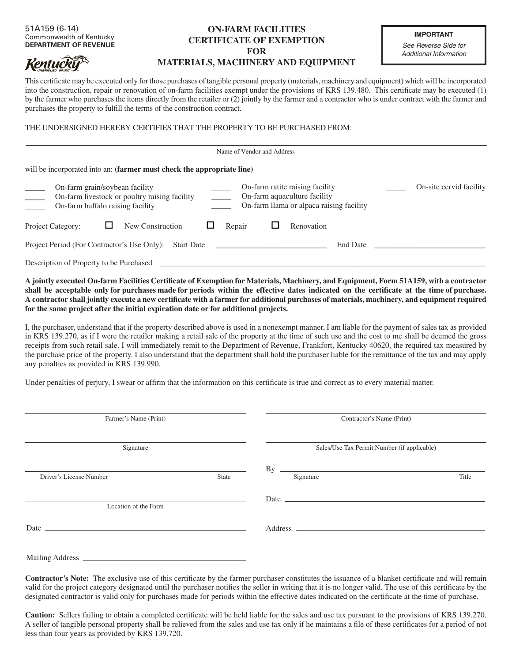## 51A159 (6-14) Commonwealth of Kentucky **DEPARTMENT OF REVENUE**

**Kentucky** 

## **ON-FARM FACILITIES CERTIFICATE OF EXEMPTION FOR MATERIALS, MACHINERY AND EQUIPMENT**

**IMPORTANT** *See Reverse Side for*

*Additional Information*

This certificate may be executed only for those purchases of tangible personal property (materials, machinery and equipment) which will be incorporated into the construction, repair or renovation of on-farm facilities exempt under the provisions of KRS 139.480. This certificate may be executed (1) by the farmer who purchases the items directly from the retailer or (2) jointly by the farmer and a contractor who is under contract with the farmer and purchases the property to fulfill the terms of the construction contract.

THE UNDERSIGNED HEREBY CERTIFIES THAT THE PROPERTY TO BE PURCHASED FROM:

| Name of Vendor and Address                                                                                                                                                                                                                          |                         |
|-----------------------------------------------------------------------------------------------------------------------------------------------------------------------------------------------------------------------------------------------------|-------------------------|
| will be incorporated into an: (farmer must check the appropriate line)                                                                                                                                                                              |                         |
| On-farm ratite raising facility<br>On-farm grain/soybean facility<br>On-farm aquaculture facility<br>On-farm livestock or poultry raising facility<br>$\frac{1}{1}$<br>On-farm llama or alpaca raising facility<br>On-farm buffalo raising facility | On-site cervid facility |
| New Construction<br><b>Project Category:</b><br>Repair<br>Renovation                                                                                                                                                                                |                         |
| Project Period (For Contractor's Use Only):<br>End Date<br>Start Date                                                                                                                                                                               |                         |
| Description of Property to be Purchased                                                                                                                                                                                                             |                         |

**A jointly executed On-farm Facilities Certificate of Exemption for Materials, Machinery, and Equipment, Form 51A159, with a contractor shall be acceptable only for purchases made for periods within the effective dates indicated on the certificate at the time of purchase. A contractor shall jointly execute a new certificate with a farmer for additional purchases of materials, machinery, and equipment required for the same project after the initial expiration date or for additional projects.** 

I, the purchaser, understand that if the property described above is used in a nonexempt manner, I am liable for the payment of sales tax as provided in KRS 139.270, as if I were the retailer making a retail sale of the property at the time of such use and the cost to me shall be deemed the gross receipts from such retail sale. I will immediately remit to the Department of Revenue, Frankfort, Kentucky 40620, the required tax measured by the purchase price of the property. I also understand that the department shall hold the purchaser liable for the remittance of the tax and may apply any penalties as provided in KRS 139.990.

Under penalties of perjury, I swear or affirm that the information on this certificate is true and correct as to every material matter.

| Farmer's Name (Print)<br>Signature                                                                                                                                                                                            |  | Contractor's Name (Print)<br>Sales/Use Tax Permit Number (if applicable)                                                                                                                                                                                                                      |  |
|-------------------------------------------------------------------------------------------------------------------------------------------------------------------------------------------------------------------------------|--|-----------------------------------------------------------------------------------------------------------------------------------------------------------------------------------------------------------------------------------------------------------------------------------------------|--|
|                                                                                                                                                                                                                               |  |                                                                                                                                                                                                                                                                                               |  |
| Location of the Farm                                                                                                                                                                                                          |  | Date $\frac{1}{2}$ Date $\frac{1}{2}$ and $\frac{1}{2}$ are $\frac{1}{2}$ and $\frac{1}{2}$ are $\frac{1}{2}$ and $\frac{1}{2}$ are $\frac{1}{2}$ and $\frac{1}{2}$ are $\frac{1}{2}$ and $\frac{1}{2}$ are $\frac{1}{2}$ and $\frac{1}{2}$ are $\frac{1}{2}$ and $\frac{1}{2}$ are $\frac{1$ |  |
| Date has been assessed by the contract of the contract of the contract of the contract of the contract of the contract of the contract of the contract of the contract of the contract of the contract of the contract of the |  |                                                                                                                                                                                                                                                                                               |  |
|                                                                                                                                                                                                                               |  |                                                                                                                                                                                                                                                                                               |  |

**Contractor's Note:** The exclusive use of this certificate by the farmer purchaser constitutes the issuance of a blanket certificate and will remain valid for the project category designated until the purchaser notifies the seller in writing that it is no longer valid. The use of this certificate by the designated contractor is valid only for purchases made for periods within the effective dates indicated on the certificate at the time of purchase.

**Caution:** Sellers failing to obtain a completed certificate will be held liable for the sales and use tax pursuant to the provisions of KRS 139.270. A seller of tangible personal property shall be relieved from the sales and use tax only if he maintains a file of these certificates for a period of not less than four years as provided by KRS 139.720.